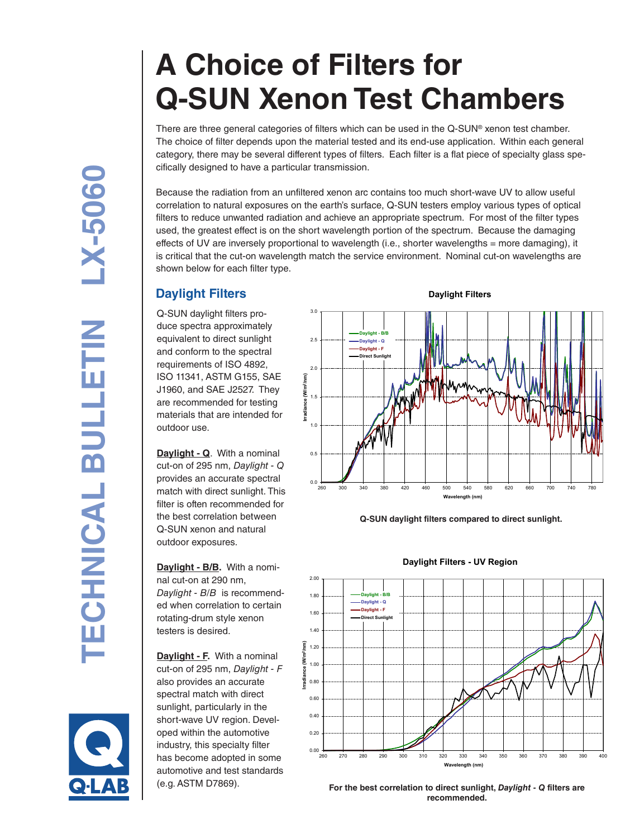# **A Choice of Filters for Q-SUN Xenon Test Chambers**

There are three general categories of filters which can be used in the Q-SUN ® xenon test chamber. The choice of filter depends upon the material tested and its end-use application. Within each general category, there may be several different types of filters. Each filter is a flat piece of specialty glass spe cifically designed to have a particular transmission.

Because the radiation from an unfiltered xenon arc contains too much short-wave UV to allow useful correlation to natural exposures on the earth's surface, Q-SUN testers employ various types of optical filters to reduce unwanted radiation and achieve an appropriate spectrum. For most of the filter types used, the greatest effect is on the short wavelength portion of the spectrum. Because the damaging effects of UV are inversely proportional to wavelength (i.e., shorter wavelengths = more damaging), it is critical that the cut-on wavelength match the service environment. Nominal cut-on wavelengths are shown below for each filter type.

# **Daylight Filters**

Q-SUN daylight filters pro duce spectra approximately equivalent to direct sunlight and conform to the spectral requirements of ISO 4892, ISO 11341, ASTM G155, SAE J1960, and SAE J2527. They are recommended for testing materials that are intended for outdoor use.

**Daylight - Q**. With a nominal cut-on of 295 nm, *Daylight - Q* provides an accurate spectral match with direct sunlight. This filter is often recommended for the best correlation between Q-SUN xenon and natural outdoor exposures.

**Daylight - B/B.** With a nominal cut-on at 290 nm, *Daylight - B/B* is recommend ed when correlation to certain rotating-drum style xenon testers is desired.

**Daylight - F.** With a nominal cut-on of 295 nm, *Daylight - F* also provides an accurate spectral match with direct sunlight, particularly in the short-wave UV region. Devel oped within the automotive industry, this specialty filter has become adopted in some automotive and test standards



**Q-SUN daylight filters compared to direct sunlight.**



**Daylight Filters - UV Region**



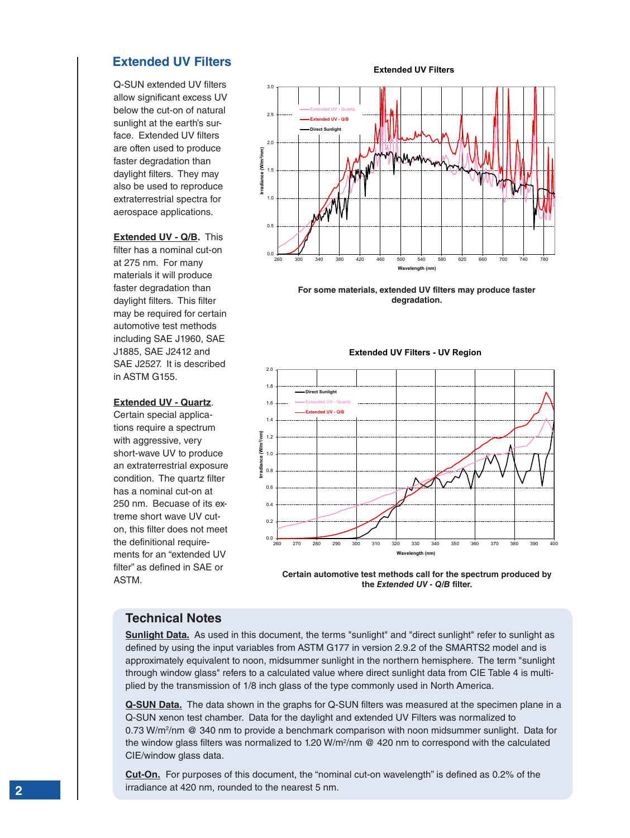# **Extended UV Filters**

Q-SUN extended UV filters allow significant excess UV below the cut-on of natural sunlight at the earth's surface. Extended UV filters are often used to produce faster degradation than daylight filters. They may also be used to reproduce extraterrestrial spectra for aerospace applications.

**Extended UV - Q/B.** This filter has a nominal cut-on at 275 nm. For many materials it will produce faster degradation than daylight filters. This filter may be required for certain automotive test methods including SAE J1960, SAE J1885, SAE J2412 and SAE J2527. It is described in ASTM G155.

#### **Extended UV - Quartz**.

Certain special applications require a spectrum with aggressive, very short-wave UV to produce an extraterrestrial exposure condition. The quartz filter has a nominal cut-on at 250 nm. Becuase of its extreme short wave UV cuton, this filter does not meet the definitional requirements for an "extended UV filter" as defined in SAE or

**Extended UV Filters**



**For some materials, extended UV filters may produce faster degradation.**



ASTM.<br>ASTM. **the** *Extended UV - Q/B* **filter.**

### **Technical Notes**

**Sunlight Data.** As used in this document, the terms "sunlight" and "direct sunlight" refer to sunlight as defined by using the input variables from ASTM G177 in version 2.9.2 of the SMARTS2 model and is approximately equivalent to noon, midsummer sunlight in the northern hemisphere. The term "sunlight through window glass" refers to a calculated value where direct sunlight data from CIE Table 4 is multiplied by the transmission of 1/8 inch glass of the type commonly used in North America.

**Q-SUN Data.** The data shown in the graphs for Q-SUN filters was measured at the specimen plane in a Q-SUN xenon test chamber. Data for the daylight and extended UV Filters was normalized to 0.73 W/m<sup>2</sup>/nm @ 340 nm to provide a benchmark comparison with noon midsummer sunlight. Data for the window glass filters was normalized to 1.20 W/m<sup>2</sup>/nm @ 420 nm to correspond with the calculated CIE/window glass data.

**Cut-On.** For purposes of this document, the "nominal cut-on wavelength" is defined as 0.2% of the irradiance at 420 nm, rounded to the nearest 5 nm.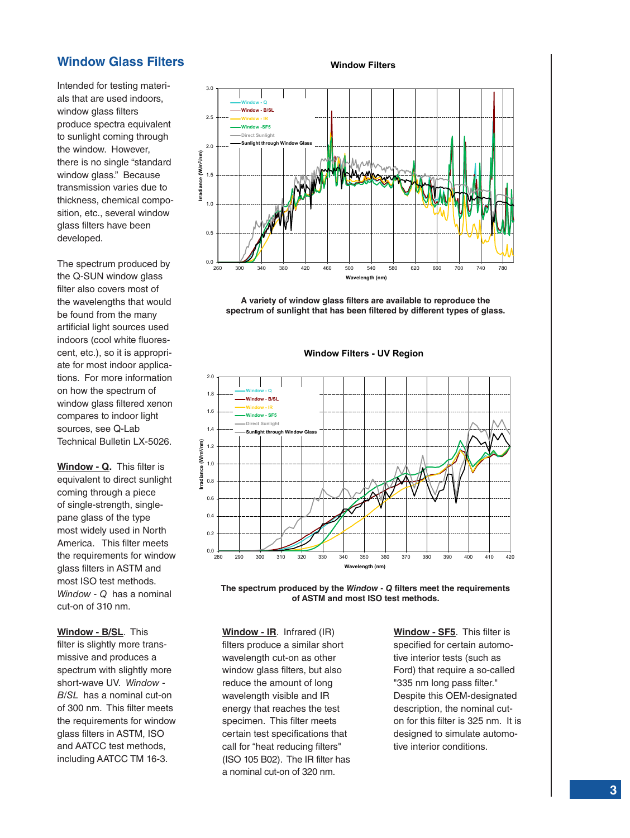# **Window Glass Filters**

Intended for testing materials that are used indoors, window glass filters produce spectra equivalent to sunlight coming through the window. However, there is no single "standard window glass." Because transmission varies due to thickness, chemical composition, etc., several window glass filters have been developed.

The spectrum produced by the Q-SUN window glass filter also covers most of the wavelengths that would be found from the many artificial light sources used indoors (cool white fluorescent, etc.), so it is appropriate for most indoor applications. For more information on how the spectrum of window glass filtered xenon compares to indoor light sources, see Q-Lab Technical Bulletin LX-5026.

**Window - Q.** This filter is equivalent to direct sunlight coming through a piece of single-strength, singlepane glass of the type most widely used in North America. This filter meets the requirements for window glass filters in ASTM and most ISO test methods. *Window - Q* has a nominal cut-on of 310 nm.

**Window - B/SL**. This filter is slightly more transmissive and produces a spectrum with slightly more short-wave UV. *Window - B/SL* has a nominal cut-on of 300 nm. This filter meets the requirements for window glass filters in ASTM, ISO and AATCC test methods, including AATCC TM 16-3.



**A variety of window glass filters are available to reproduce the spectrum of sunlight that has been filtered by different types of glass.**



**Window Filters - UV Region**

**The spectrum produced by the** *Window - Q* **filters meet the requirements of ASTM and most ISO test methods.**

**Window - IR**. Infrared (IR) filters produce a similar short wavelength cut-on as other window glass filters, but also reduce the amount of long wavelength visible and IR energy that reaches the test specimen. This filter meets certain test specifications that call for "heat reducing filters" (ISO 105 B02). The IR filter has a nominal cut-on of 320 nm.

**Window - SF5**. This filter is specified for certain automotive interior tests (such as Ford) that require a so-called "335 nm long pass filter." Despite this OEM-designated description, the nominal cuton for this filter is 325 nm. It is designed to simulate automotive interior conditions.

#### **Window Filters**